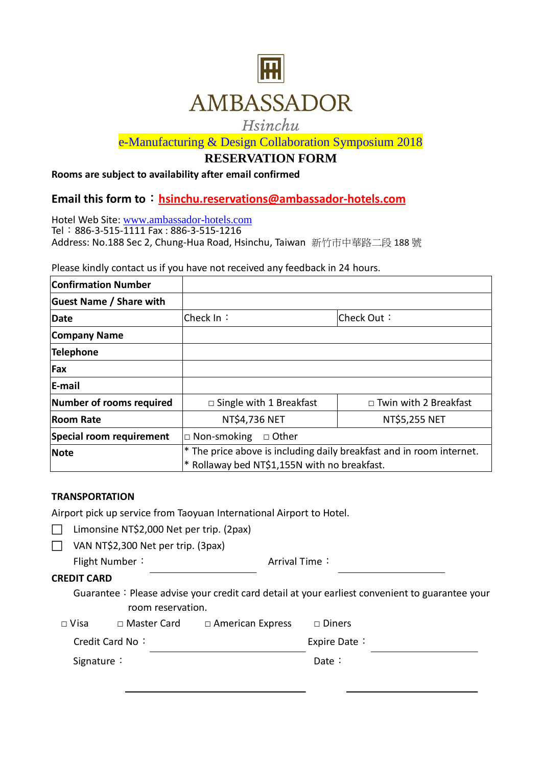

# Hsinchu

e-Manufacturing & Design Collaboration Symposium 2018

## **RESERVATION FORM**

### **Rooms are subject to availability after email confirmed**

# **Email this form to**:**[hsinchu.reservations@ambassador-hotels.com](mailto:hsinchu.reservations@ambassador-hotels.com)**

Hotel Web Site: [www.ambassador-hotels.com](http://www.ambassador-hotels.com/) Tel:886-3-515-1111 Fax : 886-3-515-1216 Address: No.188 Sec 2, Chung-Hua Road, Hsinchu, Taiwan 新竹市中華路二段 188 號

Please kindly contact us if you have not received any feedback in 24 hours.

| <b>Confirmation Number</b>     |                                                                                                                      |                              |  |
|--------------------------------|----------------------------------------------------------------------------------------------------------------------|------------------------------|--|
| <b>Guest Name / Share with</b> |                                                                                                                      |                              |  |
| Date                           | Check In∶                                                                                                            | Check Out:                   |  |
| Company Name                   |                                                                                                                      |                              |  |
| <b>Telephone</b>               |                                                                                                                      |                              |  |
| <b>Fax</b>                     |                                                                                                                      |                              |  |
| <b>E-mail</b>                  |                                                                                                                      |                              |  |
| Number of rooms required       | $\Box$ Single with 1 Breakfast                                                                                       | $\Box$ Twin with 2 Breakfast |  |
| <b>Room Rate</b>               | NT\$4,736 NET                                                                                                        | NT\$5,255 NET                |  |
| Special room requirement       | $\Box$ Non-smoking<br>□ Other                                                                                        |                              |  |
| <b>Note</b>                    | * The price above is including daily breakfast and in room internet.<br>* Rollaway bed NT\$1,155N with no breakfast. |                              |  |

#### **TRANSPORTATION**

Airport pick up service from Taoyuan International Airport to Hotel.

|  | □ Limonsine NT\$2,000 Net per trip. (2pax) |  |  |
|--|--------------------------------------------|--|--|
|--|--------------------------------------------|--|--|

 $\Box$  VAN NT\$2,300 Net per trip. (3pax)

| Flight Number: | Arrival Time: |
|----------------|---------------|
|                |               |

### **CREDIT CARD**

Guarantee: Please advise your credit card detail at your earliest convenient to guarantee your room reservation.

| □ Master Card<br>□ Visa |  | $\Box$ American Express<br>□ Diners |
|-------------------------|--|-------------------------------------|
|-------------------------|--|-------------------------------------|

Credit Card No: Expire Date:

| Date: |
|-------|
|       |